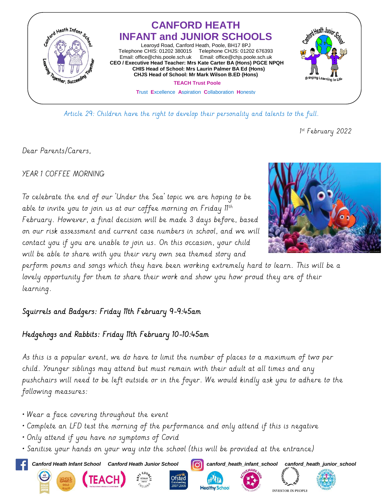

Article 29: Children have the right to develop their personality and talents to the full.

1 st February 2022

Dear Parents/Carers,

YEAR 1 COFFEE MORNING

To celebrate the end of our 'Under the Sea' topic we are hoping to be able to invite you to join us at our coffee morning on Friday 11th February. However, a final decision will be made 3 days before, based on our risk assessment and current case numbers in school, and we will contact you if you are unable to join us. On this occasion, your child will be able to share with you their very own sea themed story and

perform poems and songs which they have been working extremely hard to learn. This will be a lovely opportunity for them to share their work and show you how proud they are of their learning.

## Squirrels and Badgers: Friday 11th February 9-9:45am

## Hedgehogs and Rabbits: Friday 11th February 10-10:45am

As this is a popular event, we do have to limit the number of places to a maximum of two per child. Younger siblings may attend but must remain with their adult at all times and any pushchairs will need to be left outside or in the foyer. We would kindly ask you to adhere to the following measures:

- Wear a face covering throughout the event
- Complete an LFD test the morning of the performance and only attend if this is negative
- Only attend if you have no symptoms of Covid
- Sanitise your hands on your way into the school (this will be provided at the entrance)

*Canford Heath Infant School Canford Heath Junior School canford\_heath\_infant\_school canford\_heath\_junior\_school*